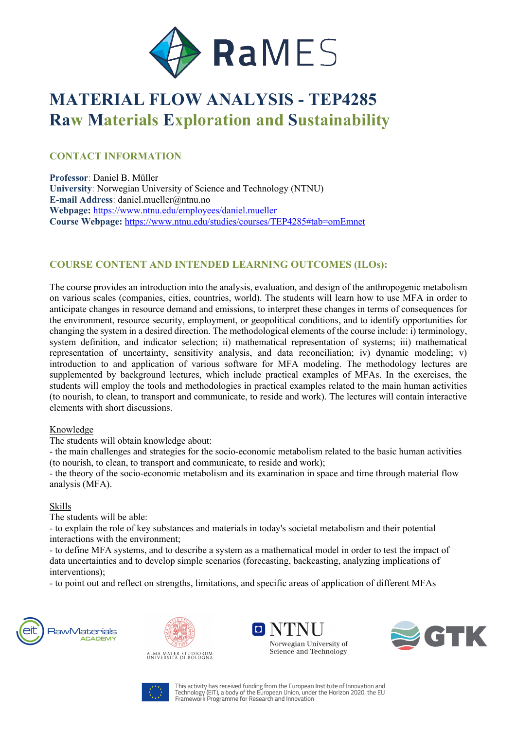

# **MATERIAL FLOW ANALYSIS - TEP4285 Raw Materials Exploration and Sustainability**

#### **CONTACT INFORMATION**

**Professor**: Daniel B. Müller **University**: Norwegian University of Science and Technology (NTNU) **E-mail Address**: daniel.mueller@ntnu.no **Webpage:** https://www.ntnu.edu/employees/daniel.mueller **Course Webpage:** https://www.ntnu.edu/studies/courses/TEP4285#tab=omEmnet

### **COURSE CONTENT AND INTENDED LEARNING OUTCOMES (ILOs):**

The course provides an introduction into the analysis, evaluation, and design of the anthropogenic metabolism on various scales (companies, cities, countries, world). The students will learn how to use MFA in order to anticipate changes in resource demand and emissions, to interpret these changes in terms of consequences for the environment, resource security, employment, or geopolitical conditions, and to identify opportunities for changing the system in a desired direction. The methodological elements of the course include: i) terminology, system definition, and indicator selection; ii) mathematical representation of systems; iii) mathematical representation of uncertainty, sensitivity analysis, and data reconciliation; iv) dynamic modeling; v) introduction to and application of various software for MFA modeling. The methodology lectures are supplemented by background lectures, which include practical examples of MFAs. In the exercises, the students will employ the tools and methodologies in practical examples related to the main human activities (to nourish, to clean, to transport and communicate, to reside and work). The lectures will contain interactive elements with short discussions.

#### Knowledge

The students will obtain knowledge about:

- the main challenges and strategies for the socio-economic metabolism related to the basic human activities (to nourish, to clean, to transport and communicate, to reside and work);

- the theory of the socio-economic metabolism and its examination in space and time through material flow analysis (MFA).

#### Skills

The students will be able:

- to explain the role of key substances and materials in today's societal metabolism and their potential interactions with the environment;

- to define MFA systems, and to describe a system as a mathematical model in order to test the impact of data uncertainties and to develop simple scenarios (forecasting, backcasting, analyzing implications of interventions);

- to point out and reflect on strengths, limitations, and specific areas of application of different MFAs











This activity has received funding from the European Institute of Innovation and<br>Technology (EIT), a body of the European Union, under the Horizon 2020, the EU<br>Framework Programme for Research and Innovation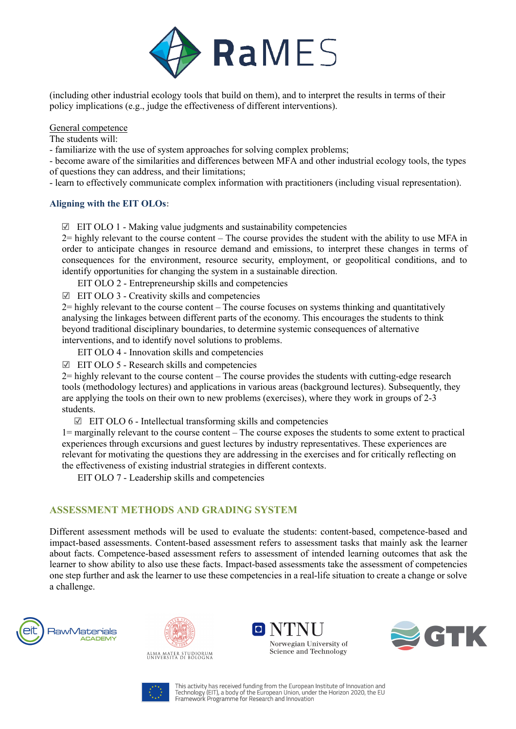

(including other industrial ecology tools that build on them), and to interpret the results in terms of their policy implications (e.g., judge the effectiveness of different interventions).

General competence

The students will:

- familiarize with the use of system approaches for solving complex problems;

- become aware of the similarities and differences between MFA and other industrial ecology tools, the types of questions they can address, and their limitations;

- learn to effectively communicate complex information with practitioners (including visual representation).

#### **Aligning with the EIT OLOs:**

 $\boxtimes$  EIT OLO 1 - Making value judgments and sustainability competencies

2= highly relevant to the course content – The course provides the student with the ability to use MFA in order to anticipate changes in resource demand and emissions, to interpret these changes in terms of consequences for the environment, resource security, employment, or geopolitical conditions, and to identify opportunities for changing the system in a sustainable direction.

EIT OLO 2 - Entrepreneurship skills and competencies

☑ EIT OLO 3 - Creativity skills and competencies

2= highly relevant to the course content – The course focuses on systems thinking and quantitatively analysing the linkages between different parts of the economy. This encourages the students to think beyond traditional disciplinary boundaries, to determine systemic consequences of alternative interventions, and to identify novel solutions to problems.

EIT OLO 4 - Innovation skills and competencies

☑ EIT OLO 5 - Research skills and competencies

2= highly relevant to the course content – The course provides the students with cutting-edge research tools (methodology lectures) and applications in various areas (background lectures). Subsequently, they are applying the tools on their own to new problems (exercises), where they work in groups of 2-3 students.

☑ EIT OLO 6 - Intellectual transforming skills and competencies

1= marginally relevant to the course content – The course exposes the students to some extent to practical experiences through excursions and guest lectures by industry representatives. These experiences are relevant for motivating the questions they are addressing in the exercises and for critically reflecting on the effectiveness of existing industrial strategies in different contexts.

EIT OLO 7 - Leadership skills and competencies

#### **ASSESSMENT METHODS AND GRADING SYSTEM**

Different assessment methods will be used to evaluate the students: content-based, competence-based and impact-based assessments. Content-based assessment refers to assessment tasks that mainly ask the learner about facts. Competence-based assessment refers to assessment of intended learning outcomes that ask the learner to show ability to also use these facts. Impact-based assessments take the assessment of competencies one step further and ask the learner to use these competencies in a real-life situation to create a change or solve a challenge.











This activity has received funding from the European Institute of Innovation and This activity has received funding from the European Union, under the Horizon 2020, the EU<br>Framework Programme for Research and Innovation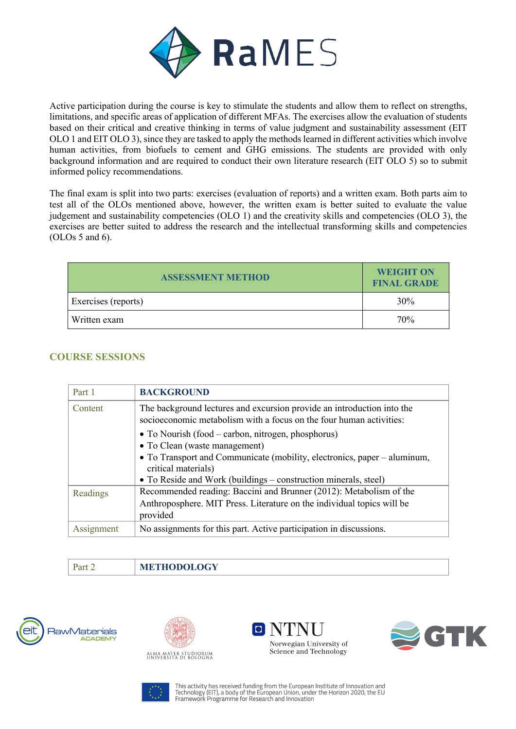

Active participation during the course is key to stimulate the students and allow them to reflect on strengths, limitations, and specific areas of application of different MFAs. The exercises allow the evaluation of students based on their critical and creative thinking in terms of value judgment and sustainability assessment (EIT OLO 1 and EIT OLO 3), since they are tasked to apply the methods learned in different activities which involve human activities, from biofuels to cement and GHG emissions. The students are provided with only background information and are required to conduct their own literature research (EIT OLO 5) so to submit informed policy recommendations.

The final exam is split into two parts: exercises (evaluation of reports) and a written exam. Both parts aim to test all of the OLOs mentioned above, however, the written exam is better suited to evaluate the value judgement and sustainability competencies (OLO 1) and the creativity skills and competencies (OLO 3), the exercises are better suited to address the research and the intellectual transforming skills and competencies (OLOs 5 and 6).

| <b>ASSESSMENT METHOD</b> | <b>WEIGHT ON</b><br><b>FINAL GRADE</b> |
|--------------------------|----------------------------------------|
| Exercises (reports)      | 30%                                    |
| Written exam             | 70%                                    |

## **COURSE SESSIONS**

| Part 1     | <b>BACKGROUND</b>                                                                                                                                                                                   |
|------------|-----------------------------------------------------------------------------------------------------------------------------------------------------------------------------------------------------|
| Content    | The background lectures and excursion provide an introduction into the<br>socioeconomic metabolism with a focus on the four human activities:<br>• To Nourish (food – carbon, nitrogen, phosphorus) |
|            | • To Clean (waste management)<br>• To Transport and Communicate (mobility, electronics, paper – aluminum,<br>critical materials)<br>• To Reside and Work (buildings – construction minerals, steel) |
| Readings   | Recommended reading: Baccini and Brunner (2012): Metabolism of the<br>Anthroposphere. MIT Press. Literature on the individual topics will be<br>provided                                            |
| Assignment | No assignments for this part. Active participation in discussions.                                                                                                                                  |

# Part 2 **METHODOLOGY**











This activity has received funding from the European Institute of Innovation and This activity has received funding from the European Union, under the Horizon 2020, the EU<br>Framework Programme for Research and Innovation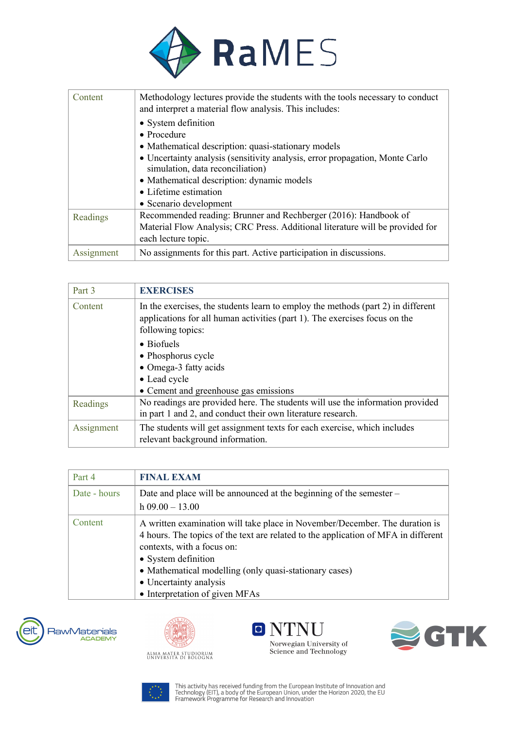

| Content    | Methodology lectures provide the students with the tools necessary to conduct<br>and interpret a material flow analysis. This includes: |
|------------|-----------------------------------------------------------------------------------------------------------------------------------------|
|            | • System definition                                                                                                                     |
|            | $\bullet$ Procedure                                                                                                                     |
|            | • Mathematical description: quasi-stationary models                                                                                     |
|            | • Uncertainty analysis (sensitivity analysis, error propagation, Monte Carlo<br>simulation, data reconciliation)                        |
|            | • Mathematical description: dynamic models                                                                                              |
|            | • Lifetime estimation                                                                                                                   |
|            | • Scenario development                                                                                                                  |
| Readings   | Recommended reading: Brunner and Rechberger (2016): Handbook of                                                                         |
|            | Material Flow Analysis; CRC Press. Additional literature will be provided for                                                           |
|            | each lecture topic.                                                                                                                     |
| Assignment | No assignments for this part. Active participation in discussions.                                                                      |

| Part 3     | <b>EXERCISES</b>                                                                                                                                                                                                                                                                                                  |
|------------|-------------------------------------------------------------------------------------------------------------------------------------------------------------------------------------------------------------------------------------------------------------------------------------------------------------------|
| Content    | In the exercises, the students learn to employ the methods (part 2) in different<br>applications for all human activities (part 1). The exercises focus on the<br>following topics:<br>$\bullet$ Biofuels<br>• Phosphorus cycle<br>• Omega-3 fatty acids<br>• Lead cycle<br>• Cement and greenhouse gas emissions |
| Readings   | No readings are provided here. The students will use the information provided<br>in part 1 and 2, and conduct their own literature research.                                                                                                                                                                      |
| Assignment | The students will get assignment texts for each exercise, which includes<br>relevant background information.                                                                                                                                                                                                      |

| Part 4       | <b>FINAL EXAM</b>                                                                                                                                                                                                                                                                                                                            |
|--------------|----------------------------------------------------------------------------------------------------------------------------------------------------------------------------------------------------------------------------------------------------------------------------------------------------------------------------------------------|
| Date - hours | Date and place will be announced at the beginning of the semester $-$<br>$h$ 09.00 - 13.00                                                                                                                                                                                                                                                   |
| Content      | A written examination will take place in November/December. The duration is<br>4 hours. The topics of the text are related to the application of MFA in different<br>contexts, with a focus on:<br>• System definition<br>• Mathematical modelling (only quasi-stationary cases)<br>• Uncertainty analysis<br>• Interpretation of given MFAs |